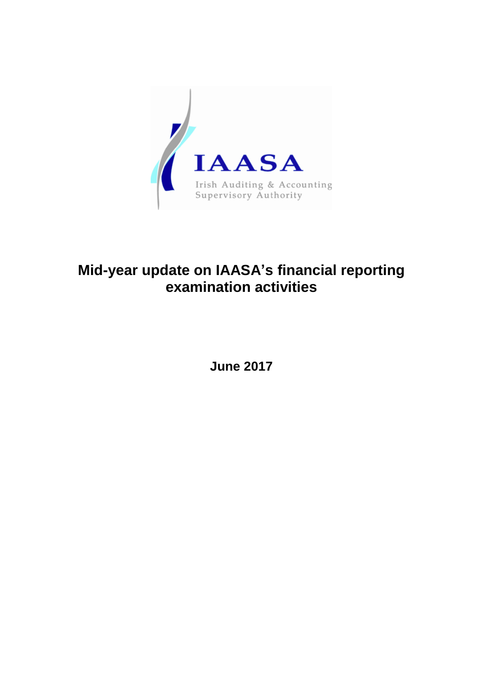

## **Mid-year update on IAASA's financial reporting examination activities**

**June 2017**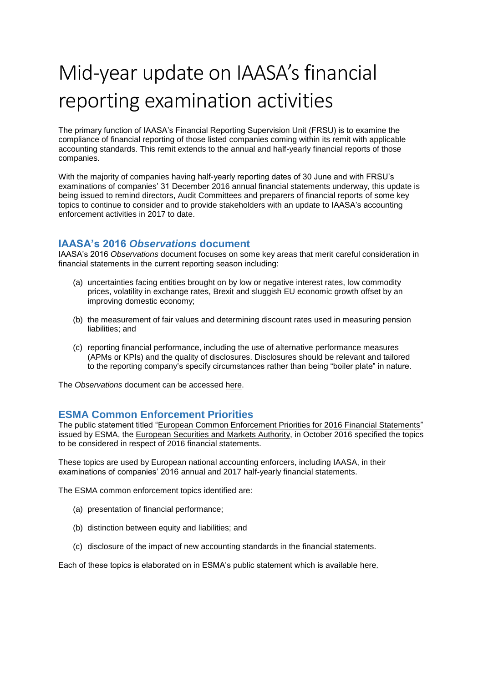# Mid-year update on IAASA's financial reporting examination activities

The primary function of IAASA's Financial Reporting Supervision Unit (FRSU) is to examine the compliance of financial reporting of those listed companies coming within its remit with applicable accounting standards. This remit extends to the annual and half-yearly financial reports of those companies.

With the majority of companies having half-yearly reporting dates of 30 June and with FRSU's examinations of companies' 31 December 2016 annual financial statements underway, this update is being issued to remind directors, Audit Committees and preparers of financial reports of some key topics to continue to consider and to provide stakeholders with an update to IAASA's accounting enforcement activities in 2017 to date.

#### **IAASA's 2016** *Observations* **document**

IAASA's 2016 *Observations* document focuses on some key areas that merit careful consideration in financial statements in the current reporting season including:

- (a) uncertainties facing entities brought on by low or negative interest rates, low commodity prices, volatility in exchange rates, Brexit and sluggish EU economic growth offset by an improving domestic economy;
- (b) the measurement of fair values and determining discount rates used in measuring pension liabilities; and
- (c) reporting financial performance, including the use of alternative performance measures (APMs or KPIs) and the quality of disclosures. Disclosures should be relevant and tailored to the reporting company's specify circumstances rather than being "boiler plate" in nature.

The *Observations* document can be accessed [here.](http://www.iaasa.ie/getmedia/4373c4a2-3b1b-45b5-a0d1-1e0f2d300eb9/IAASA-Obs-doc-2016.pdf)

### **ESMA Common Enforcement Priorities**

The public statement titled ["European Common Enforcement Priorities for 2016 Financial Statements"](https://www.esma.europa.eu/sites/default/files/library/esma-2016-1528_european_common_enforcement_priorities_for_2016.pdf) issued by ESMA, the [European Securities and Markets Authority,](https://www.esma.europa.eu/) in October 2016 specified the topics to be considered in respect of 2016 financial statements.

These topics are used by European national accounting enforcers, including IAASA, in their examinations of companies' 2016 annual and 2017 half-yearly financial statements.

The ESMA common enforcement topics identified are:

- (a) presentation of financial performance;
- (b) distinction between equity and liabilities; and
- (c) disclosure of the impact of new accounting standards in the financial statements.

Each of these topics is elaborated on in ESMA's public statement which is available [here.](https://www.esma.europa.eu/sites/default/files/library/esma-2016-1528_european_common_enforcement_priorities_for_2016.pdf)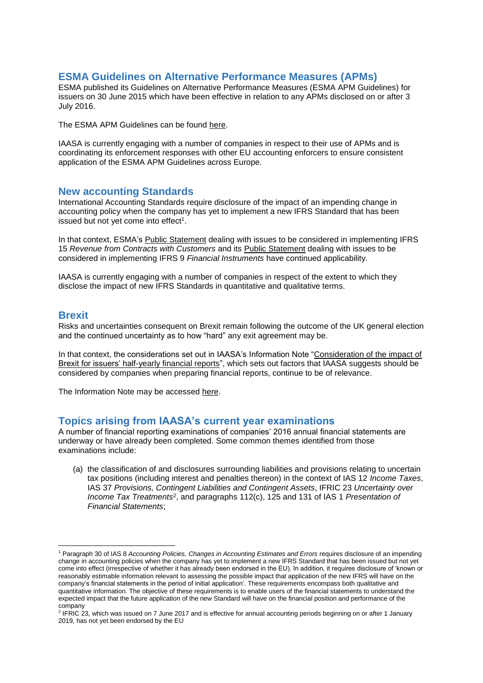#### **ESMA Guidelines on Alternative Performance Measures (APMs)**

ESMA published its Guidelines on Alternative Performance Measures (ESMA APM Guidelines) for issuers on 30 June 2015 which have been effective in relation to any APMs disclosed on or after 3 July 2016.

The ESMA APM Guidelines can be found [here.](http://www.iaasa.ie/getmedia/10dc7484-ac2d-4eff-aee0-0dcb86a0ed88/ESMA_APMs_2015.pdf)

IAASA is currently engaging with a number of companies in respect to their use of APMs and is coordinating its enforcement responses with other EU accounting enforcers to ensure consistent application of the ESMA APM Guidelines across Europe.

#### **New accounting Standards**

International Accounting Standards require disclosure of the impact of an impending change in accounting policy when the company has yet to implement a new IFRS Standard that has been issued but not yet come into effect<sup>1</sup>.

In that context, ESMA's [Public Statement](https://www.esma.europa.eu/sites/default/files/library/2016-1148_public_statement_ifrs_15.pdf) dealing with issues to be considered in implementing IFRS 15 *Revenue from Contracts with Customers* and its [Public Statement](https://www.esma.europa.eu/sites/default/files/library/2016-1563_public_statement-issues_on_implementation_of_ifrs_9.pdf) dealing with issues to be considered in implementing IFRS 9 *Financial Instruments* have continued applicability.

IAASA is currently engaging with a number of companies in respect of the extent to which they disclose the impact of new IFRS Standards in quantitative and qualitative terms.

#### **Brexit**

1

Risks and uncertainties consequent on Brexit remain following the outcome of the UK general election and the continued uncertainty as to how "hard" any exit agreement may be.

In that context, the considerations set out in IAASA's Information Note ["Consideration of the impact of](http://www.iaasa.ie/getmedia/c400a126-d2be-49e5-96e0-66bfe998775d/Brexit-Info-Note-12jul16.pdf)  [Brexit for issuers' half-yearly financial reports"](http://www.iaasa.ie/getmedia/c400a126-d2be-49e5-96e0-66bfe998775d/Brexit-Info-Note-12jul16.pdf), which sets out factors that IAASA suggests should be considered by companies when preparing financial reports, continue to be of relevance.

The Information Note may be accessed [here.](http://www.iaasa.ie/getmedia/c400a126-d2be-49e5-96e0-66bfe998775d/Brexit-Info-Note-12jul16.pdf)

#### **Topics arising from IAASA's current year examinations**

A number of financial reporting examinations of companies' 2016 annual financial statements are underway or have already been completed. Some common themes identified from those examinations include:

(a) the classification of and disclosures surrounding liabilities and provisions relating to uncertain tax positions (including interest and penalties thereon) in the context of IAS 12 *Income Taxes*, IAS 37 *Provisions, Contingent Liabilities and Contingent Assets*, IFRIC 23 *Uncertainty over Income Tax Treatments*<sup>2</sup> , and paragraphs 112(c), 125 and 131 of IAS 1 *Presentation of Financial Statements*;

<sup>1</sup> Paragraph 30 of IAS 8 *Accounting Policies, Changes in Accounting Estimates and Errors* requires disclosure of an impending change in accounting policies when the company has yet to implement a new IFRS Standard that has been issued but not yet come into effect (irrespective of whether it has already been endorsed in the EU). In addition, it requires disclosure of 'known or reasonably estimable information relevant to assessing the possible impact that application of the new IFRS will have on the company's financial statements in the period of initial application'. These requirements encompass both qualitative and quantitative information. The objective of these requirements is to enable users of the financial statements to understand the expected impact that the future application of the new Standard will have on the financial position and performance of the company

<sup>2</sup> IFRIC 23*,* which was issued on 7 June 2017 and is effective for annual accounting periods beginning on or after 1 January 2019, has not yet been endorsed by the EU